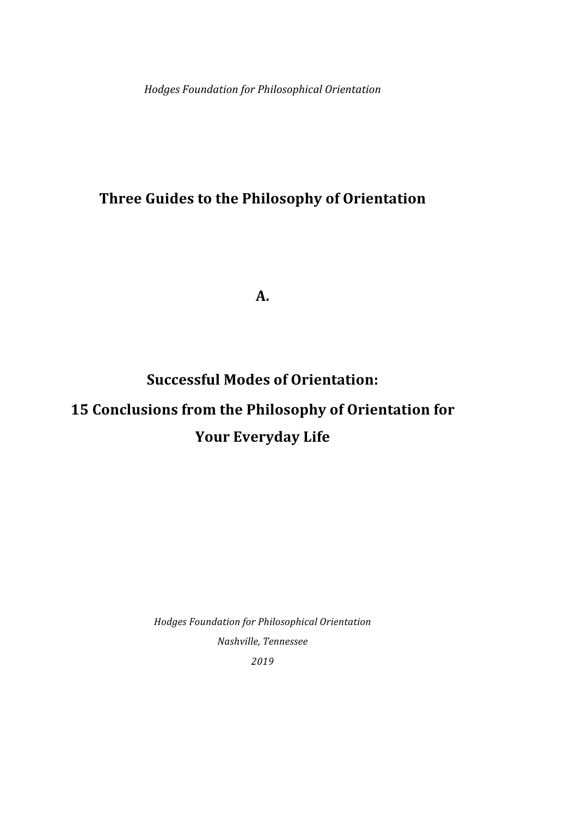*Hodges Foundation for Philosophical Orientation*

# **Three Guides to the Philosophy of Orientation**

**A.**

# **Successful Modes of Orientation: 15 Conclusions from the Philosophy of Orientation for Your Everyday Life**

*Hodges Foundation for Philosophical Orientation Nashville, Tennessee 2019*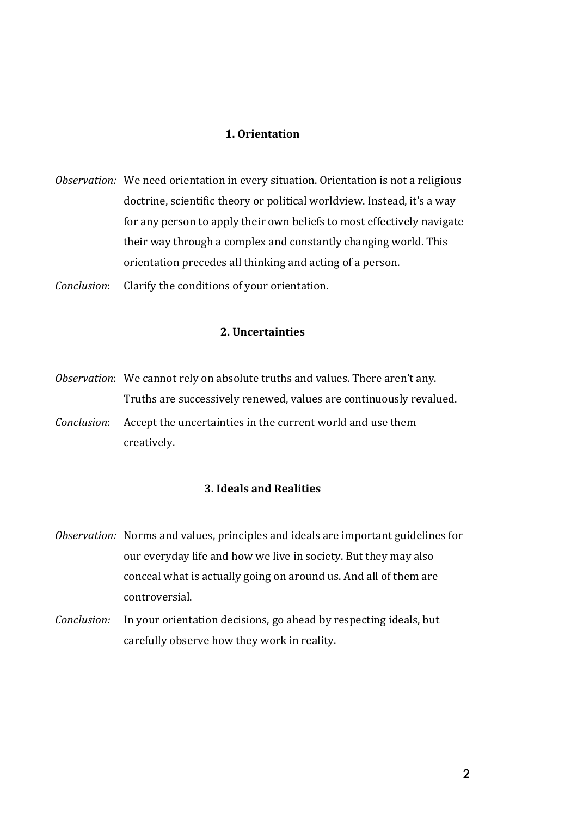#### **1. Orientation**

- *Observation:* We need orientation in every situation. Orientation is not a religious doctrine, scientific theory or political worldview. Instead, it's a way for any person to apply their own beliefs to most effectively navigate their way through a complex and constantly changing world. This orientation precedes all thinking and acting of a person.
- *Conclusion*: Clarify the conditions of your orientation.

#### **2. Uncertainties**

*Observation*: We cannot rely on absolute truths and values. There aren't any. Truths are successively renewed, values are continuously revalued. *Conclusion*: Accept the uncertainties in the current world and use them creatively. 

# **3. Ideals and Realities**

- *Observation:* Norms and values, principles and ideals are important guidelines for our everyday life and how we live in society. But they may also conceal what is actually going on around us. And all of them are controversial.
- *Conclusion:* In your orientation decisions, go ahead by respecting ideals, but carefully observe how they work in reality.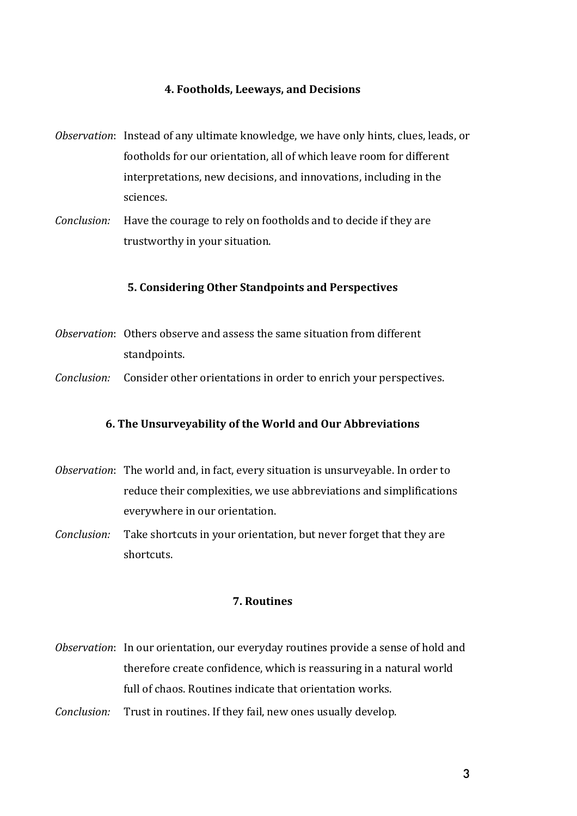#### **4. Footholds, Leeways, and Decisions**

- *Observation*: Instead of any ultimate knowledge, we have only hints, clues, leads, or footholds for our orientation, all of which leave room for different interpretations, new decisions, and innovations, including in the sciences.
- *Conclusion:* Have the courage to rely on footholds and to decide if they are trustworthy in your situation.

#### **5. Considering Other Standpoints and Perspectives**

- *Observation*: Others observe and assess the same situation from different standpoints.
- *Conclusion:* Consider other orientations in order to enrich your perspectives.

#### **6. The Unsurveyability of the World and Our Abbreviations**

- *Observation*: The world and, in fact, every situation is unsurveyable. In order to reduce their complexities, we use abbreviations and simplifications everywhere in our orientation.
- *Conclusion:* Take shortcuts in your orientation, but never forget that they are shortcuts.

#### **7. Routines**

- *Observation*: In our orientation, our everyday routines provide a sense of hold and therefore create confidence, which is reassuring in a natural world full of chaos. Routines indicate that orientation works.
- *Conclusion:* Trust in routines. If they fail, new ones usually develop.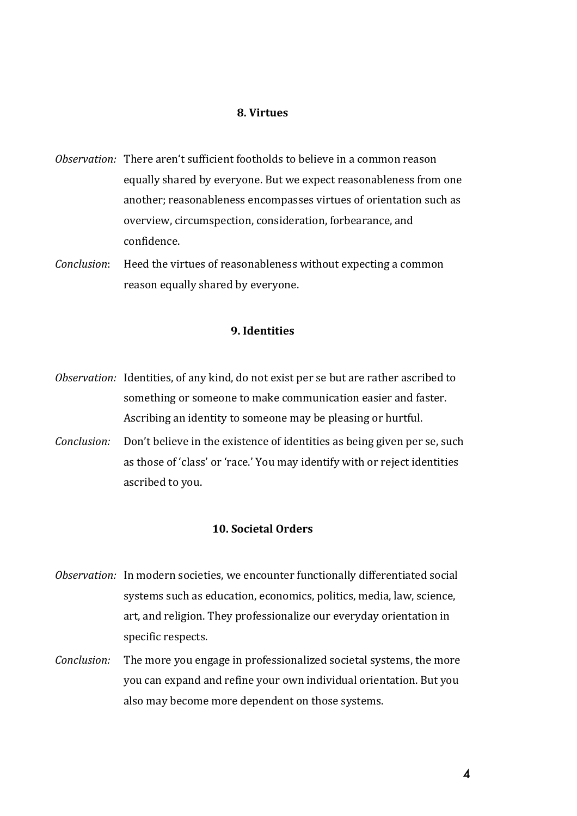#### **8. Virtues**

- *Observation:* There aren't sufficient footholds to believe in a common reason equally shared by everyone. But we expect reasonableness from one another; reasonableness encompasses virtues of orientation such as overview, circumspection, consideration, forbearance, and confidence.
- *Conclusion*: Heed the virtues of reasonableness without expecting a common reason equally shared by everyone.

#### **9.** Identities

- *Observation:* Identities, of any kind, do not exist per se but are rather ascribed to something or someone to make communication easier and faster. Ascribing an identity to someone may be pleasing or hurtful.
- *Conclusion:* Don't believe in the existence of identities as being given per se, such as those of 'class' or 'race.' You may identify with or reject identities ascribed to you.

## **10. Societal Orders**

- *Observation:* In modern societies, we encounter functionally differentiated social systems such as education, economics, politics, media, law, science, art, and religion. They professionalize our everyday orientation in specific respects.
- *Conclusion:* The more you engage in professionalized societal systems, the more you can expand and refine your own individual orientation. But you also may become more dependent on those systems.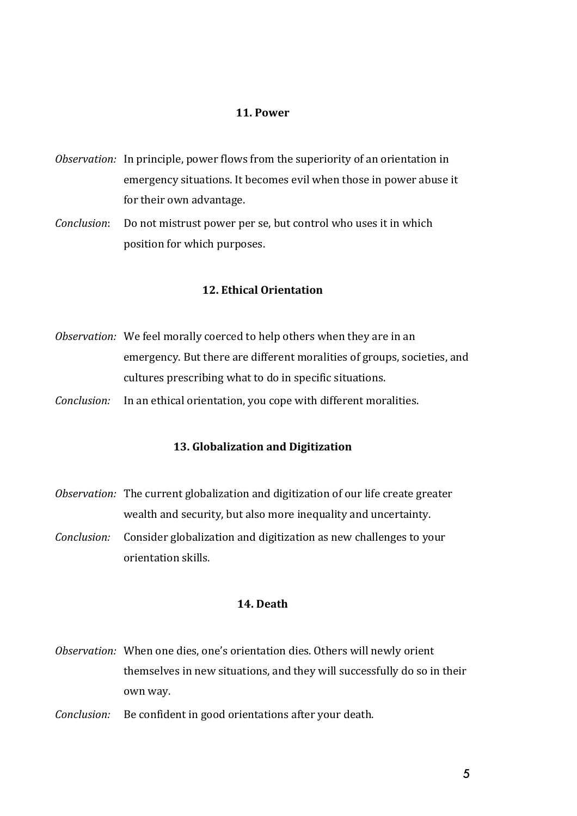#### **11. Power**

- *Observation:* In principle, power flows from the superiority of an orientation in emergency situations. It becomes evil when those in power abuse it for their own advantage.
- *Conclusion*: Do not mistrust power per se, but control who uses it in which position for which purposes.

#### **12. Ethical Orientation**

- *Observation:* We feel morally coerced to help others when they are in an emergency. But there are different moralities of groups, societies, and cultures prescribing what to do in specific situations.
- *Conclusion:* In an ethical orientation, you cope with different moralities.

# **13. Globalization and Digitization**

- *Observation:* The current globalization and digitization of our life create greater wealth and security, but also more inequality and uncertainty.
- *Conclusion:* Consider globalization and digitization as new challenges to your orientation skills.

#### **14. Death**

- *Observation:* When one dies, one's orientation dies. Others will newly orient themselves in new situations, and they will successfully do so in their own way.
- *Conclusion:* Be confident in good orientations after your death.